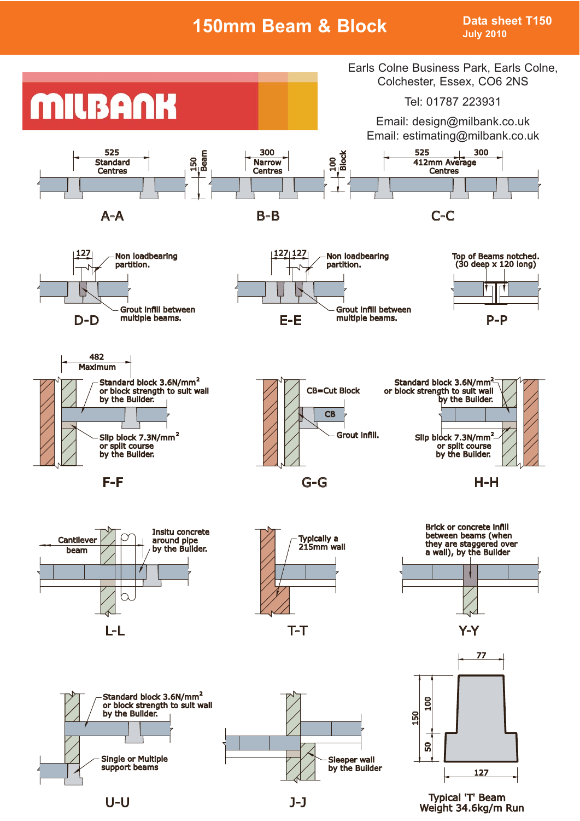# **150mm Beam & Block Data sheet T150**

**July 2010**



U-U J-J



Weight 34.6kg/m Run Typical 'T' Beam